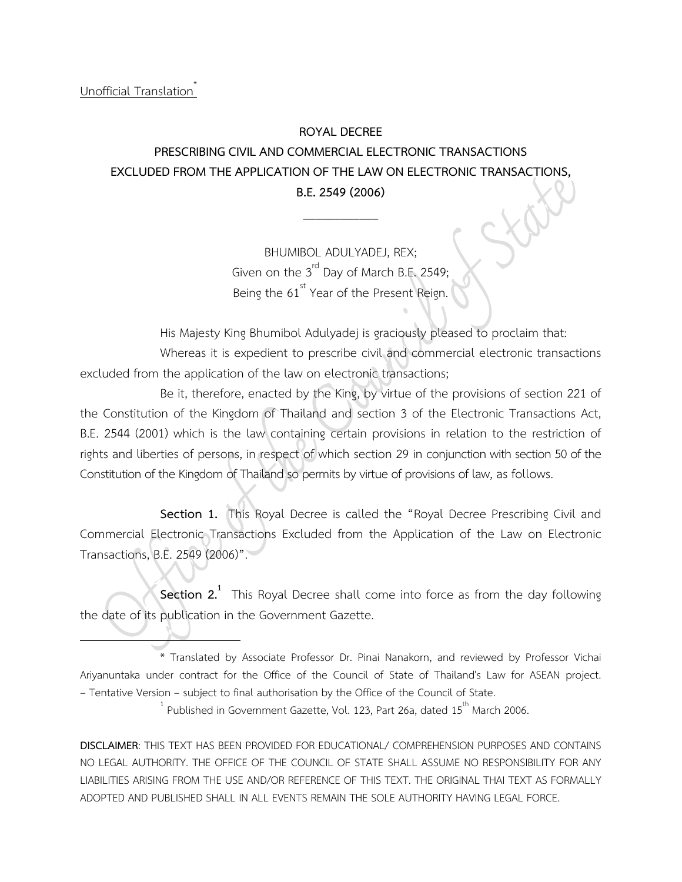## **ROYAL DECREE**

## **PRESCRIBING CIVIL AND COMMERCIAL ELECTRONIC TRANSACTIONS EXCLUDED FROM THE APPLICATION OF THE LAW ON ELECTRONIC TRANSACTIONS, B.E.2549 (2006)**

\_\_\_\_\_\_\_\_\_\_\_\_

BHUMIBOL ADULYADEJ, REX; Given on the  $3<sup>rd</sup>$  Day of March B.E. 2549; Being the 61<sup>st</sup> Year of the Present Reign.

His Majesty King Bhumibol Adulyadej is graciously pleased to proclaim that: Whereas it is expedient to prescribe civil and commercial electronic transactions excluded from the application of the law on electronic transactions;

Be it, therefore, enacted by the King, by virtue of the provisions of section 221 of the Constitution of the Kingdom of Thailand and section 3 of the Electronic Transactions Act, B.E. 2544 (2001) which is the law containing certain provisions in relation to the restriction of rights and liberties of persons, in respect of which section 29 in conjunction with section 50 of the Constitution of the Kingdom of Thailand so permits by virtue of provisions of law, as follows.

**Section 1.** This Royal Decree is called the "Royal Decree Prescribing Civil and Commercial Electronic Transactions Excluded from the Application of the Law on Electronic Transactions, B.E. 2549 (2006)".

**Section 2.**<sup>1</sup> This Royal Decree shall come into force as from the day following the date of its publication in the Government Gazette.

**DISCLAIMER**: THIS TEXT HAS BEEN PROVIDED FOR EDUCATIONAL/ COMPREHENSION PURPOSES AND CONTAINS NO LEGAL AUTHORITY. THE OFFICE OF THE COUNCIL OF STATE SHALL ASSUME NO RESPONSIBILITY FOR ANY LIABILITIES ARISING FROM THE USE AND/OR REFERENCE OF THIS TEXT. THE ORIGINAL THAI TEXT AS FORMALLY ADOPTED AND PUBLISHED SHALL IN ALL EVENTS REMAIN THE SOLE AUTHORITY HAVING LEGAL FORCE.

<sup>\*</sup> Translated by Associate Professor Dr. Pinai Nanakorn, and reviewed by Professor Vichai Ariyanuntaka under contract for the Office of the Council of State of Thailand's Law for ASEAN project. – Tentative Version – subject to final authorisation by the Office of the Council of State. <sup>1</sup>

 $^1$  Published in Government Gazette, Vol. 123, Part 26a, dated 15<sup>th</sup> March 2006.